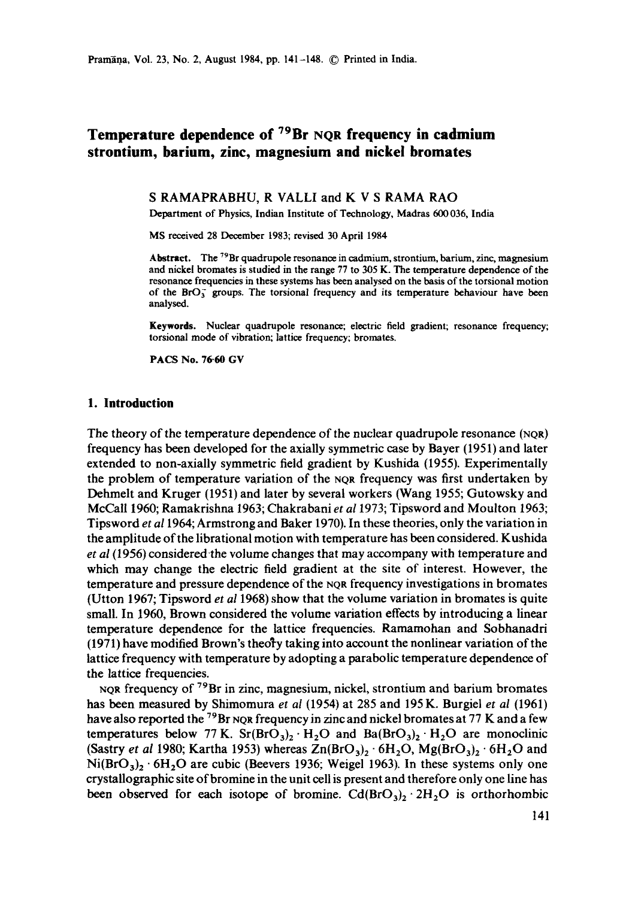Pramāna, Vol. 23, No. 2, August 1984, pp. 141-148. © Printed in India.

# **Temperature dependence of 79Br NQR frequency in cadmium strontium, barium, zinc, magnesium and nickel bromates**

S RAMAPRABHU, R VALLI and K V S RAMA RAO

Department of Physics, Indian Institute of Technology, Madras 600036, India

MS received 28 December 1983; revised 30 April 1984

Abstract. The  $^{79}$ Br quadrupole resonance in cadmium, strontium, barium, zinc, magnesium and nickel bromates is studied in the range 77 to 305 K. The temperature dependence of the resonance frequencies in **these systems** has been analysed on the basis of the torsional motion of the  $BrO<sub>3</sub>$  groups. The torsional frequency and its temperature behaviour have been analysed.

**Keywords.** Nuclear quadrupole resonance; electric field gradient; resonance frequency; torsional mode of vibration; lattice frequency; bromates.

**PACS No. 76.60 GV** 

### **1. Introduction**

The theory of the temperature dependence of the nuclear quadrupole resonance (NOR) frequency has been developed for the axially symmetric case by Bayer (1951) and later extended to non-axially symmetric field gradient by Kushida (1955). Experimentally the problem of temperature variation of the NQR frequency was first undertaken by Dehmelt and Kruger (1951) and later by several workers (Wang 1955; Gutowsky and McCall 1960; Ramakrishna 1963; Chakrabani *et a11973;* Tipsword and Moulton 1963; Tipsword *et a11964;* Armstrong and Baker 1970). In these theories, only the variation in the amplitude of the librational motion with temperature has been considered. Kushida *et al* (1956) considered-the volume changes that may accompany with temperature and which may change the electric field gradient at the site of interest. However, the temperature and pressure dependence of the NQR frequency investigations in bromates (Utton 1967; Tipsword *et al* 1968) show that the volume variation in bromates is quite small. In 1960, Brown considered the volume variation effects by introducing a linear temperature dependence for the lattice frequencies. Ramamohan and Sobhanadri  $(1971)$  have modified Brown's theo<sub>ry</sub> taking into account the nonlinear variation of the lattice frequency with temperature by adopting a parabolic temperature dependence of the lattice frequencies.

NQR frequency of 79Br in zinc, magnesium, nickel, strontium and barium bromates has been measured by Shimomura *et at* (1954) at 285 and 195 K. Burgiel *et al* (1961) have also reported the <sup>79</sup>Br NQR frequency in zinc and nickel bromates at 77 K and a few temperatures below 77 K. Sr( $BrO<sub>3</sub>$ )<sub>2</sub> · H<sub>2</sub>O and Ba( $BrO<sub>3</sub>$ )<sub>2</sub> · H<sub>2</sub>O are monoclinic (Sastry *et al* 1980; Kartha 1953) whereas  $Zn(BrO<sub>3</sub>)<sub>2</sub> · 6H<sub>2</sub>O$ ,  $Mg(BrO<sub>3</sub>)<sub>2</sub> · 6H<sub>2</sub>O$  and  $Ni(BrO<sub>3</sub>)<sub>2</sub> · 6H<sub>2</sub>O$  are cubic (Beevers 1936; Weigel 1963). In these systems only one crystallographic site of bromine in the unit cell is present and therefore only one line has been observed for each isotope of bromine.  $Cd(BrO<sub>3</sub>)<sub>2</sub> \cdot 2H<sub>2</sub>O$  is orthorhombic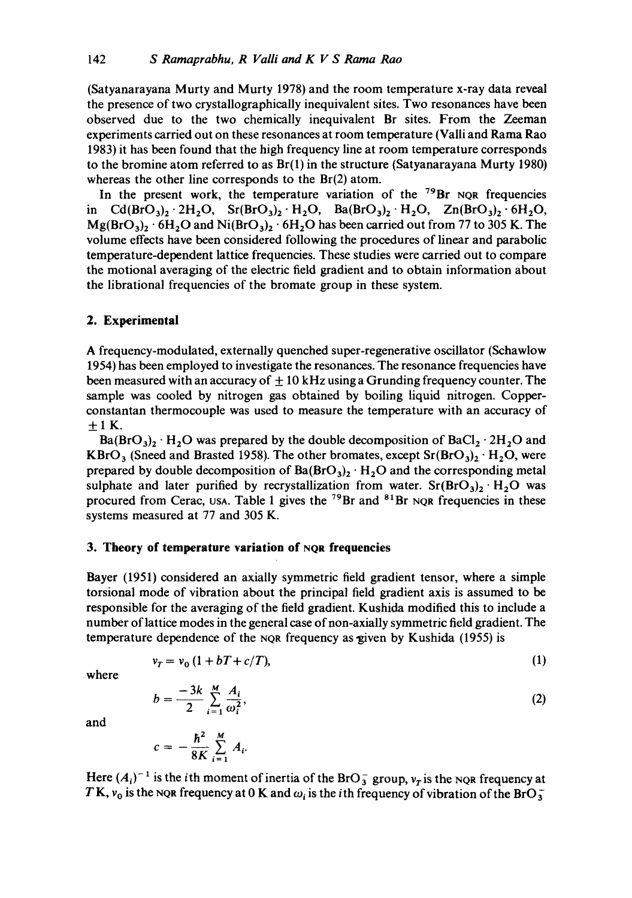(Satyanarayana Murty and Murty 1978) and the room temperature x-ray data reveal the presence of two crystallographically inequivalent sites. Two resonances have been observed due to the two chemically inequivalent Br sites. From the Zeeman experiments carried out on these resonances at room temperature (Valli and Rama Rao 1983) it has been found that the high frequency line at room temperature corresponds to the bromine atom referred to as  $Br(1)$  in the structure (Satyanarayana Murty 1980) whereas the other line corresponds to the Br(2) atom.

In the present work, the temperature variation of the  $^{79}Br$  NQR frequencies in  $Cd(BrO<sub>3</sub>)<sub>2</sub> · 2H<sub>2</sub>O$ ,  $Sr(BrO<sub>3</sub>)<sub>2</sub> · H<sub>2</sub>O$ ,  $Ba(BrO<sub>3</sub>)<sub>2</sub> · H<sub>2</sub>O$ ,  $Zn(BrO<sub>3</sub>)<sub>2</sub> · 6H<sub>2</sub>O$ ,  $Mg(BrO<sub>3</sub>)<sub>2</sub> · 6H<sub>2</sub>O$  and  $Ni(BrO<sub>3</sub>)<sub>2</sub> · 6H<sub>2</sub>O$  has been carried out from 77 to 305 K. The volume effects have been considered following the procedures of linear and parabolic temperature-dependent lattice frequencies. These studies were carried out to compare the motional averaging of the electric field gradient and to obtain information about the librational frequencies of the bromate group in these system.

## **2. Experimental**

A frequency-modulated, externally quenched super-regenerative oscillator (Schawlow 1954) has been employed to investigate the resonances. The resonance frequencies have been measured with an accuracy of  $\pm 10$  kHz using a Grunding frequency counter. The sample was cooled by nitrogen gas obtained by boiling liquid nitrogen. Copperconstantan thermocouple was used to measure the temperature with an accuracy of  $\pm$  1 K.

 $Ba(BrO<sub>3</sub>)<sub>2</sub> · H<sub>2</sub>O$  was prepared by the double decomposition of  $BaCl<sub>2</sub> · 2H<sub>2</sub>O$  and KBrO<sub>3</sub> (Sneed and Brasted 1958). The other bromates, except  $Sr(BrO<sub>3</sub>)<sub>2</sub> · H<sub>2</sub>O$ , were prepared by double decomposition of  $Ba(BrO<sub>3</sub>)<sub>2</sub> · H<sub>2</sub>O$  and the corresponding metal sulphate and later purified by recrystallization from water.  $Sr(BrO<sub>3</sub>)<sub>2</sub>·H<sub>2</sub>O$  was procured from Cerac, USA. Table 1 gives the  $^{79}$ Br and  $^{81}$ Br NQR frequencies in these systems measured at 77 and 305 K.

### **3. Theory of temperature variation of NQR frequencies**

 $c = -\frac{\sum_{i=1}^{n} A_i}{8K}$ 

Bayer (1951) considered an axially symmetric field gradient tensor, where a simple torsional mode of vibration about the principal field gradient axis is assumed to be responsible for the averaging of the field gradient. Kushida modified this to include a number of lattice modes in the general case of non-axially symmetric field gradient. The temperature dependence of the NQR frequency as given by Kushida (1955) is

$$
v_T = v_0 \left(1 + bT + c/T\right),\tag{1}
$$

where

$$
b = \frac{-3k}{2} \sum_{i=1}^{M} \frac{A_i}{\omega_i^2},
$$
 (2)

and

Here  $(A_i)^{-1}$  is the *i*th moment of inertia of the BrO<sub>3</sub> group,  $v_T$  is the NQR frequency at TK,  $v_0$  is the NQR frequency at 0 K and  $\omega_i$  is the ith frequency of vibration of the BrO $_3^-$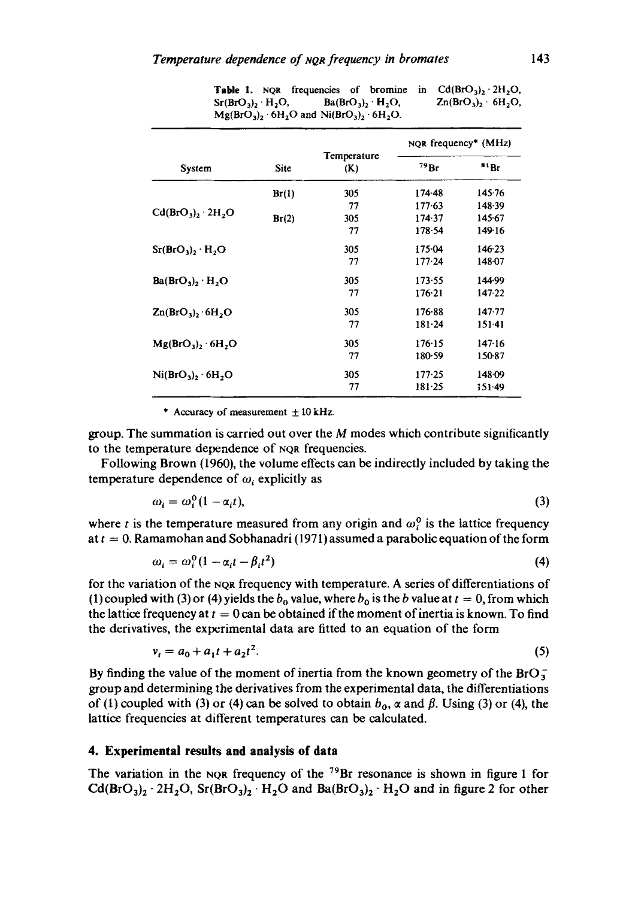|                                |             |                    | NOR frequency <sup>*</sup> (MHz) |            |  |
|--------------------------------|-------------|--------------------|----------------------------------|------------|--|
| System                         | <b>Site</b> | Temperature<br>(K) | 79Br                             | 81Rr       |  |
|                                | Br(1)       | 305                | $174-48$                         | 145.76     |  |
| $Cd(BrO3)2 · 2H2O$             |             | 77                 | 177.63                           | 148.39     |  |
|                                | Br(2)       | 305                | 174.37                           | 145.67     |  |
|                                |             | 77                 | 178.54                           | 149.16     |  |
| $Sr(BrO3)$ , $H2O$             |             | 305                | 175.04                           | 146.23     |  |
|                                |             | 77                 | $177 - 24$                       | 148.07     |  |
| $Ba(BrO3)$ , $H2O$             |             | 305                | 173.55                           | 144.99     |  |
|                                |             | 77                 | 176.21                           | 147.22     |  |
| $Zn(BrO3)2 · 6H2O$             |             | 305                | 176.88                           | $147 - 77$ |  |
|                                |             | 77                 | $181 - 24$                       | $151 - 41$ |  |
| $Mg(BrO3)$ , 6H <sub>2</sub> O |             | 305                | 176.15                           | 147.16     |  |
|                                |             | 77                 | 180.59                           | 150-87     |  |
| $Ni(BrO3)2 · 6H2O$             |             | 305                | 177.25                           | 148.09     |  |
|                                |             | 77                 | 181.25                           | $151-49$   |  |

**Table 1.** NQR frequencies of bromine in  $Cd(BrO<sub>3</sub>)<sub>2</sub> \cdot 2H<sub>2</sub>O$ ,  $Sr(BrO<sub>3</sub>)<sub>2</sub> · H<sub>2</sub>O$ ,  $Ba(BrO<sub>3</sub>)<sub>2</sub> · H<sub>2</sub>O$ ,  $Zn(BrO<sub>3</sub>)<sub>2</sub> · 6H<sub>2</sub>O$ ,  $Mg(BrO<sub>3</sub>)<sub>2</sub> · 6H<sub>2</sub>O$  and  $Ni(BrO<sub>3</sub>)<sub>2</sub> · 6H<sub>2</sub>O$ .

\* Accuracy of measurement  $\pm 10$  kHz.

group. The summation is carried out over the  $M$  modes which contribute significantly to the temperature dependence of NQR frequencies.

Following Brown (1960), the volume effects can be indirectly included by taking the temperature dependence of  $\omega_i$  explicitly as

$$
\omega_i = \omega_i^0 (1 - \alpha_i t), \tag{3}
$$

where t is the temperature measured from any origin and  $\omega_i^0$  is the lattice frequency at  $t = 0$ . Ramamohan and Sobhanadri (1971) assumed a parabolic equation of the form

$$
\omega_i = \omega_i^0 (1 - \alpha_i t - \beta_i t^2) \tag{4}
$$

for the variation of the NQR frequency with temperature. A series of differentiations of (1) coupled with (3) or (4) yields the  $b_0$  value, where  $b_0$  is the b value at  $t = 0$ , from which the lattice frequency at  $t = 0$  can be obtained if the moment of inertia is known. To find the derivatives, the experimental data are fitted to an equation of the form

$$
v_t = a_0 + a_1 t + a_2 t^2. \tag{5}
$$

By finding the value of the moment of inertia from the known geometry of the  $BrO<sub>3</sub>^$ group and determining the derivatives from the experimental data, the differentiations of (1) coupled with (3) or (4) can be solved to obtain  $b_0$ ,  $\alpha$  and  $\beta$ . Using (3) or (4), the lattice frequencies at different temperatures can be calculated.

# **4. Experimental results and analysis of data**

The variation in the NQR frequency of the  $^{79}$ Br resonance is shown in figure 1 for  $Cd(BrO<sub>3</sub>)<sub>2</sub> \cdot 2H<sub>2</sub>O$ ,  $Sr(BrO<sub>3</sub>)<sub>2</sub> \cdot H<sub>2</sub>O$  and  $Ba(BrO<sub>3</sub>)<sub>2</sub> \cdot H<sub>2</sub>O$  and in figure 2 for other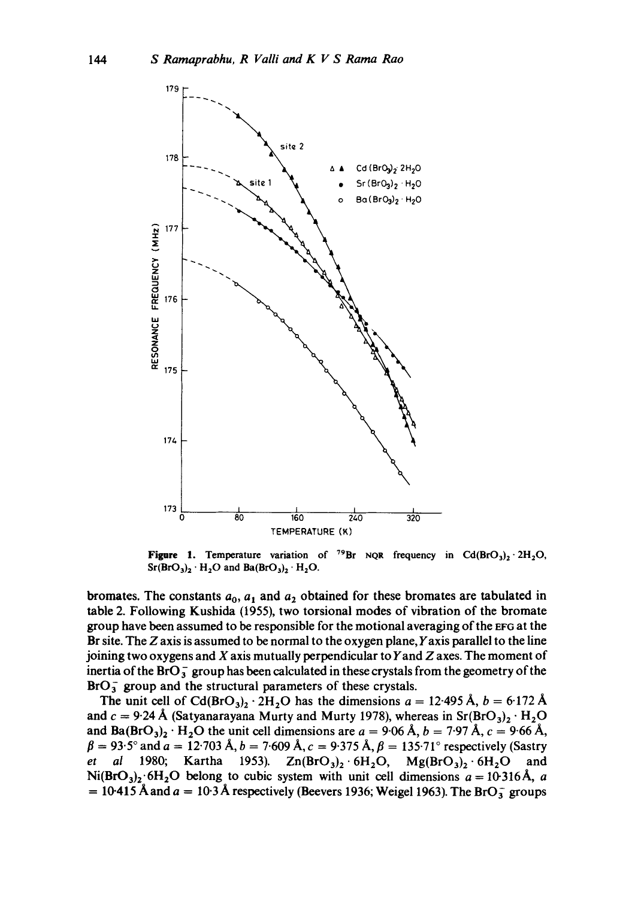

**Figure 1.** Temperature variation of <sup>79</sup>Br NQR frequency in  $Cd(BrO<sub>3</sub>)<sub>2</sub> \cdot 2H<sub>2</sub>O$ ,  $Sr(BrO<sub>3</sub>)<sub>2</sub> · H<sub>2</sub>O$  and  $Ba(BrO<sub>3</sub>)<sub>2</sub> · H<sub>2</sub>O$ .

**bromates.** The constants  $a_0$ ,  $a_1$  and  $a_2$  obtained for these bromates are tabulated in **table 2. Following Kushida (1955), two torsional modes of vibration of the bromate group have been assumed to be responsible for the motional averaging of the EFG at the Br site. The Z axis is assumed to be normal to the oxygen plane, Yaxis parallel to the line joining two oxygens and X axis mutually perpendicular to Yand Z axes. The moment of inertia of the BrO** $_3^-$  group has been calculated in these crystals from the geometry of the BrO<sub>3</sub> group and the structural parameters of these crystals.

The unit cell of  $Cd(BrO<sub>3</sub>)<sub>2</sub> \cdot 2H<sub>2</sub>O$  has the dimensions  $a = 12.495 \text{ Å}, b = 6.172 \text{ Å}$ and  $c = 9.24 \text{ Å}$  (Satyanarayana Murty and Murty 1978), whereas in Sr(BrO<sub>3</sub>)<sub>2</sub> · H<sub>2</sub>O and  $Ba(BrO<sub>3</sub>)<sub>2</sub> · H<sub>2</sub>O$  the unit cell dimensions are  $a = 9.06 \text{ Å}, b = 7.97 \text{ Å}, c = 9.66 \text{ Å},$  $\beta = 93.5^{\circ}$  and  $a = 12.703$  Å,  $b = 7.609$  Å,  $c = 9.375$  Å,  $\beta = 135.71^{\circ}$  respectively (Sastry *et al* **1980;** Kartha 1953).  $Zn(BrO<sub>3</sub>)<sub>2</sub> · 6H<sub>2</sub>O$ ,  $Mg(BrO<sub>3</sub>)<sub>2</sub> · 6H<sub>2</sub>O$  and  $Ni(BrO<sub>3</sub>)<sub>2</sub>·6H<sub>2</sub>O$  belong to cubic system with unit cell dimensions  $a = 10.316 \text{Å}$ , a  $= 10-415$  Å and  $a = 10.3$  Å respectively (Beevers 1936; Weigel 1963). The BrO<sub>3</sub> groups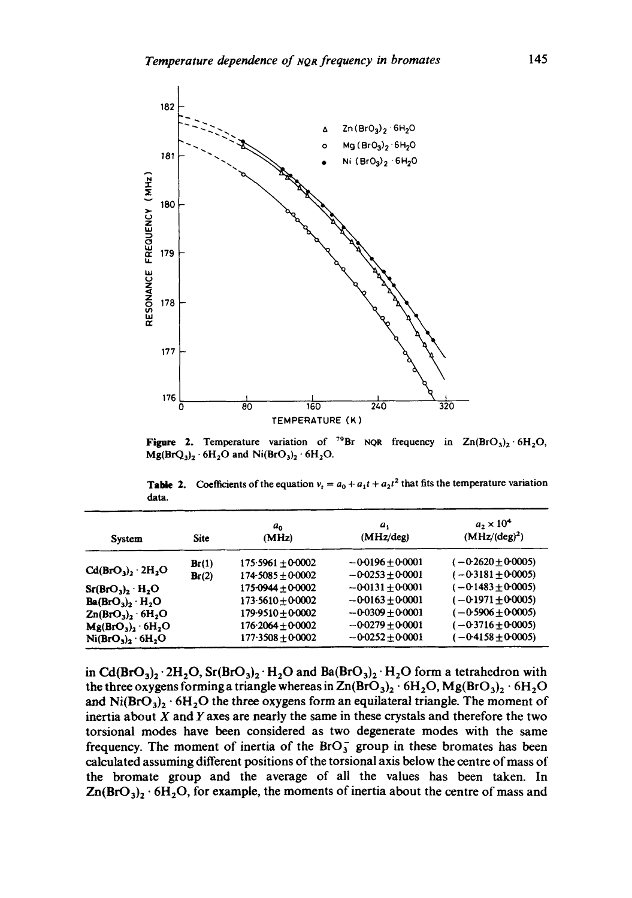

**Figure 2.** Temperature variation of <sup>'9</sup>Br NQR frequency in  $Zn(BrO<sub>3</sub>)<sub>2</sub> \cdot 6H<sub>2</sub>O$ ,  $Mg(BrQ_3)_2 \cdot 6H_2O$  and  $Ni(BrO_3)_2 \cdot 6H_2O$ .

**Table 2.** Coefficients of the equation  $v_t = a_0 + a_1 t + a_2 t^2$  that fits the temperature variation data.

| System                         | <b>Site</b> | a.<br>(MHz)         | a,<br>(MHz/deg)      | $a_2 \times 10^4$<br>$(MHz/(deg)^2)$ |  |
|--------------------------------|-------------|---------------------|----------------------|--------------------------------------|--|
| $Cd(BrO3)$ , $2H2O$            | Br(1)       | $175.5961 + 0.0002$ | $-0.0196 \pm 0.0001$ | $(-0.2620 \pm 0.0005)$               |  |
|                                | Br(2)       | $174-5085+0.0002$   | $-0.0253 + 0.0001$   | $(-0.3181 \pm 0.0005)$               |  |
| $Sr(BrO3)$ , $H2O$             |             | $175-0944 + 0-0002$ | $-0.0131 + 0.0001$   | $(-0.1483 \pm 0.0005)$               |  |
| $Ba(BrO3)$ , $H2O$             |             | $173.5610 + 0.0002$ | $-0.0163 + 0.0001$   | $(-0.1971 + 0.0005)$                 |  |
| $Zn(BrO3)$ , 6H <sub>2</sub> O |             | $179.9510 + 0.0002$ | $-0.0309 \pm 0.0001$ | $(-0.5906 \pm 0.0005)$               |  |
| $Mg(BrO3)2 \cdot 6H2O$         |             | $176.2064 + 0.0002$ | $-0.0279 + 0.0001$   | $(-0.3716 + 0.0005)$                 |  |
| $Ni(BrO3)2 · 6H2O$             |             | $177.3508 + 0.0002$ | $-0.0252 + 0.0001$   | $(-0.4158 \pm 0.0005)$               |  |

in Cd(BrO<sub>3</sub>)<sub>2</sub> · 2H<sub>2</sub>O, Sr(BrO<sub>3</sub>)<sub>2</sub> · H<sub>2</sub>O and Ba(BrO<sub>3</sub>)<sub>2</sub> · H<sub>2</sub>O form a tetrahedron with the three oxygens forming a triangle whereas in  $\text{Zn}(BrO_3)_2 \cdot 6\text{H}_2\text{O}, Mg(BrO_3)_2 \cdot 6\text{H}_2\text{O}$ and  $Ni(BrO<sub>3</sub>)<sub>2</sub> · 6H<sub>2</sub>O$  the three oxygens form an equilateral triangle. The moment of inertia about  $X$  and  $Y$  axes are nearly the same in these crystals and therefore the two torsional modes have been considered as two degenerate modes with the same frequency. The moment of inertia of the  $BrO<sub>3</sub>$  group in these bromates has been calculated assuming different positions of the torsional axis below the centre of mass of the bromate group and the average of all the values has been taken. In  $Zn(BrO<sub>3</sub>)<sub>2</sub> · 6H<sub>2</sub>O$ , for example, the moments of inertia about the centre of mass and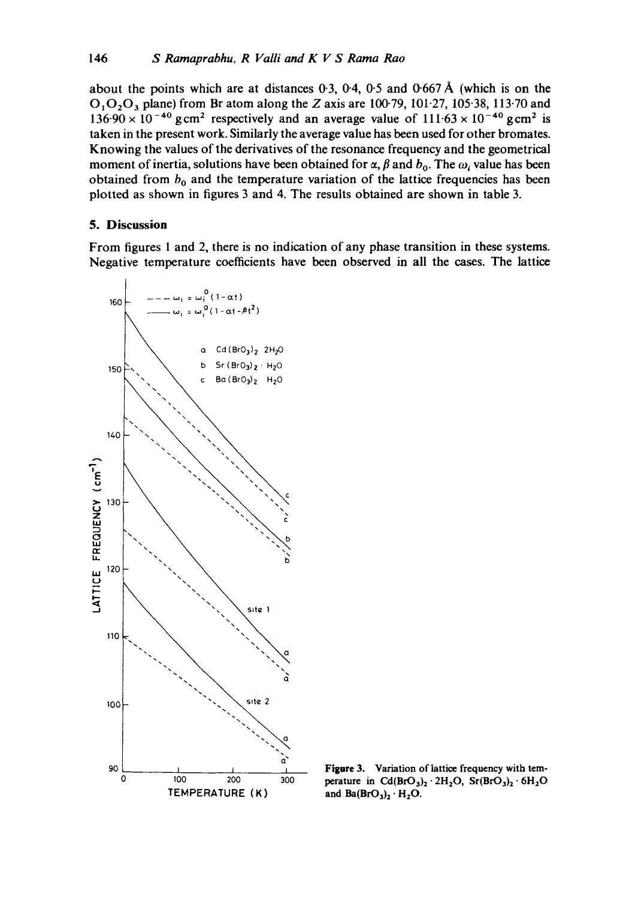**about the points which are at distances 0-3, 0-4, 0-5 and 0-667 A (which is on the 01020 3 plane) from Br atom along the Z axis are 100.79, 101-27, 105"38, 113-70 and**   $136.90 \times 10^{-40}$  gcm<sup>2</sup> respectively and an average value of  $111.63 \times 10^{-40}$  gcm<sup>2</sup> is **taken in the present work. Similarly the average value has been used for other bromates. Knowing the values of the derivatives of the resonance frequency and the geometrical**  moment of inertia, solutions have been obtained for  $\alpha$ ,  $\beta$  and  $b_0$ . The  $\omega_i$  value has been obtained from  $b_0$  and the temperature variation of the lattice frequencies has been **plotted as shown in figures 3 and 4. The results obtained are shown in table 3.** 

### **5. Discussion**

**From figures 1 and 2, there is no indication of any phase transition in these systems. Negative temperature coefficients have been observed in all the cases. The lattice** 



**Figure 3. Variation of lattice frequency with tem**perature in  $Cd(BrO<sub>3</sub>)<sub>2</sub> \cdot 2H<sub>2</sub>O$ ,  $Sr(BrO<sub>3</sub>)<sub>2</sub> \cdot 6H<sub>2</sub>O$ and  $Ba(BrO<sub>3</sub>)<sub>2</sub> · H<sub>2</sub>O$ .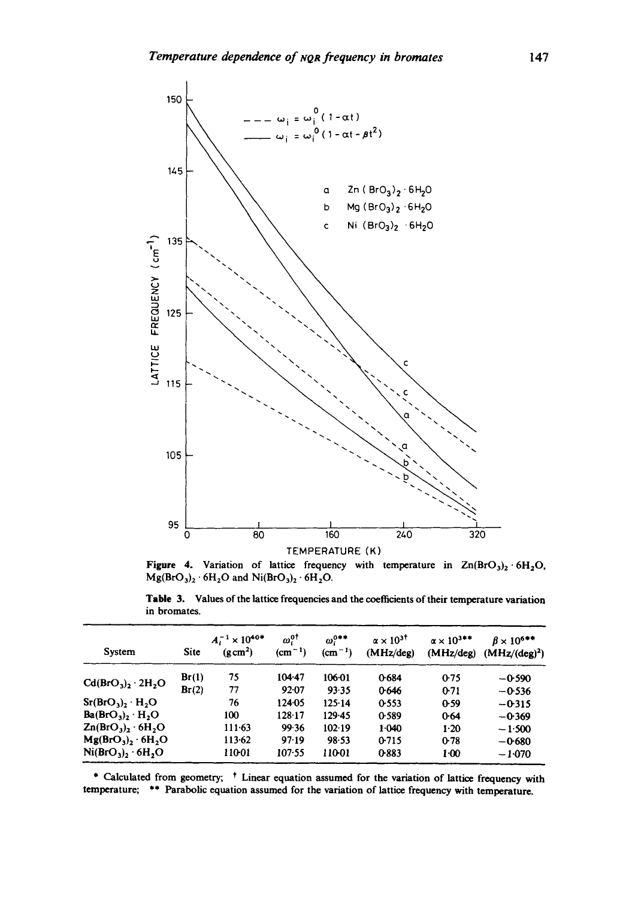

**Figure 4.** Variation of lattice frequency with temperature in  $\text{Zn(BrO}_3)_2 \cdot 6\text{H}_2\text{O}$ ,  $Mg(BrO<sub>3</sub>)<sub>2</sub> · 6H<sub>2</sub>O$  and  $Ni(BrO<sub>3</sub>)<sub>2</sub> · 6H<sub>2</sub>O$ .

**Table 3. Values of the lattice frequencies and the coefficients of their temperature variation in bromates.** 

| System                         | Site  | $A_i^{-1} \times 10^{40*}$<br>$(g \, cm^2)$ | $\omega_i^{0\dagger}$<br>$(cm-1)$ | $\omega^{0++}$<br>$(cm^{-1})$ | $\alpha \times 10^{37}$<br>(MHz/deg) | $\alpha \times 10^{3++}$<br>(MHz/deg) | $\beta \times 10^{6**}$<br>$(MHz/(deg)^2)$ |
|--------------------------------|-------|---------------------------------------------|-----------------------------------|-------------------------------|--------------------------------------|---------------------------------------|--------------------------------------------|
| $Cd(BrO3)$ , 2H <sub>2</sub> O | Br(1) | 75                                          | $104 - 47$                        | 106.01                        | 0684                                 | 0.75                                  | $-0.590$                                   |
|                                | Br(2) | 77                                          | $92 - 07$                         | 93.35                         | 0.646                                | 0.71                                  | $-0.536$                                   |
| $Sr(BrO3)$ , $H2O$             |       | 76                                          | 124.05                            | 125.14                        | 0.553                                | 0.59                                  | $-0.315$                                   |
| $Ba(BrO3)$ , $H2O$             |       | 100                                         | 128.17                            | 129.45                        | 0.589                                | 0.64                                  | $-0.369$                                   |
| $Zn(BrO3)2 \cdot 6H2O$         |       | $111-63$                                    | 99.36                             | 102.19                        | 1.040                                | $1-20$                                | $-1.500$                                   |
| $Mg(BrO3)2 \cdot 6H2O$         |       | 113.62                                      | 97.19                             | $98 - 53$                     | 0.715                                | 0.78                                  | $-0.680$                                   |
| $Ni(BrO3)2 · 6H2O$             |       | 11001                                       | $107 - 55$                        | 110-01                        | 0.883                                | $1-00$                                | $-1.070$                                   |

\* Calculated from geometry; <sup>†</sup> Linear equation assumed for the variation of lattice frequency with **temperature; \*\* Parabolic equation assumed for the variation of lattice frequency with temperature.**